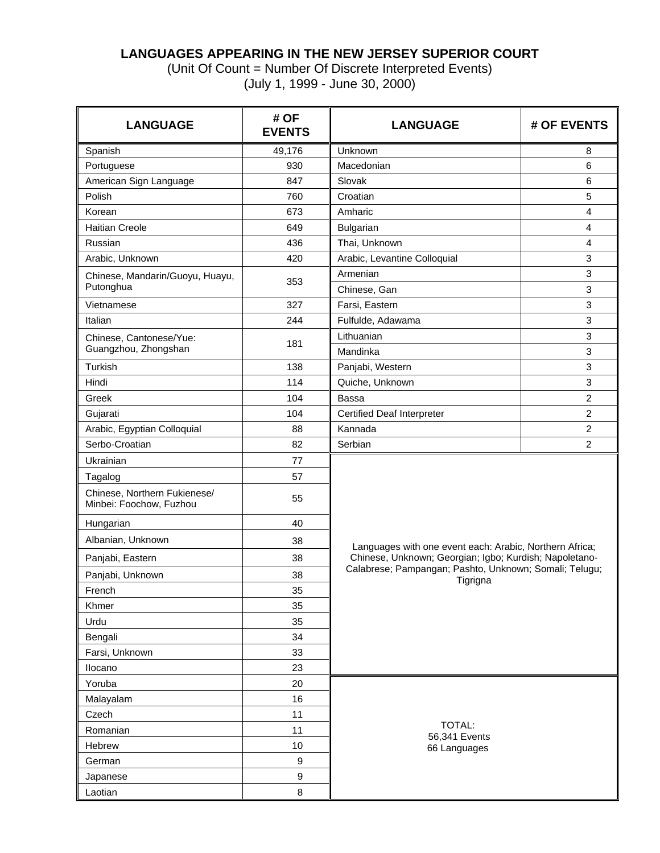## **LANGUAGES APPEARING IN THE NEW JERSEY SUPERIOR COURT**

(Unit Of Count = Number Of Discrete Interpreted Events) (July 1, 1999 - June 30, 2000)

| <b>LANGUAGE</b>                                         | # OF<br><b>EVENTS</b> | <b>LANGUAGE</b>                                                    | # OF EVENTS               |  |  |  |  |  |  |
|---------------------------------------------------------|-----------------------|--------------------------------------------------------------------|---------------------------|--|--|--|--|--|--|
| Spanish                                                 | 49,176                | Unknown                                                            | 8                         |  |  |  |  |  |  |
| Portuguese                                              | 930                   | Macedonian                                                         | 6                         |  |  |  |  |  |  |
| American Sign Language                                  | 847                   | Slovak                                                             | 6                         |  |  |  |  |  |  |
| Polish                                                  | 760                   | Croatian                                                           | 5                         |  |  |  |  |  |  |
| Korean                                                  | 673                   | Amharic                                                            | $\overline{4}$            |  |  |  |  |  |  |
| <b>Haitian Creole</b>                                   | 649                   | Bulgarian                                                          | $\overline{4}$            |  |  |  |  |  |  |
| Russian                                                 | 436                   | Thai, Unknown                                                      | 4                         |  |  |  |  |  |  |
| Arabic, Unknown                                         | 420                   | Arabic, Levantine Colloquial                                       | 3                         |  |  |  |  |  |  |
| Chinese, Mandarin/Guoyu, Huayu,                         |                       | Armenian                                                           | 3                         |  |  |  |  |  |  |
| Putonghua                                               | 353                   | Chinese, Gan                                                       | 3                         |  |  |  |  |  |  |
| Vietnamese                                              | 327                   | Farsi, Eastern                                                     | $\sqrt{3}$                |  |  |  |  |  |  |
| Italian                                                 | 244                   | Fulfulde, Adawama                                                  | 3                         |  |  |  |  |  |  |
| Chinese, Cantonese/Yue:                                 |                       | Lithuanian                                                         | 3                         |  |  |  |  |  |  |
| Guangzhou, Zhongshan                                    | 181                   | Mandinka                                                           | 3                         |  |  |  |  |  |  |
| Turkish                                                 | 138                   | Panjabi, Western                                                   | $\ensuremath{\mathsf{3}}$ |  |  |  |  |  |  |
| Hindi                                                   | 114                   | Quiche, Unknown                                                    | 3                         |  |  |  |  |  |  |
| Greek                                                   | 104                   | Bassa                                                              | $\overline{c}$            |  |  |  |  |  |  |
| Gujarati                                                | 104                   | <b>Certified Deaf Interpreter</b>                                  | $\overline{2}$            |  |  |  |  |  |  |
| Arabic, Egyptian Colloquial                             | 88                    | Kannada                                                            | $\overline{c}$            |  |  |  |  |  |  |
| Serbo-Croatian                                          | 82                    | Serbian                                                            | $\overline{2}$            |  |  |  |  |  |  |
| Ukrainian                                               | 77                    |                                                                    |                           |  |  |  |  |  |  |
| Tagalog                                                 | 57                    |                                                                    |                           |  |  |  |  |  |  |
| Chinese, Northern Fukienese/<br>Minbei: Foochow, Fuzhou | 55                    |                                                                    |                           |  |  |  |  |  |  |
| Hungarian                                               | 40                    |                                                                    |                           |  |  |  |  |  |  |
| Albanian, Unknown                                       | 38                    | Languages with one event each: Arabic, Northern Africa;            |                           |  |  |  |  |  |  |
| Panjabi, Eastern                                        | 38                    | Chinese, Unknown; Georgian; Igbo; Kurdish; Napoletano-             |                           |  |  |  |  |  |  |
| Panjabi, Unknown                                        | 38                    | Calabrese; Pampangan; Pashto, Unknown; Somali; Telugu;<br>Tigrigna |                           |  |  |  |  |  |  |
| French                                                  | 35                    |                                                                    |                           |  |  |  |  |  |  |
| Khmer                                                   | 35                    |                                                                    |                           |  |  |  |  |  |  |
| Urdu                                                    | 35                    |                                                                    |                           |  |  |  |  |  |  |
| Bengali                                                 | 34                    |                                                                    |                           |  |  |  |  |  |  |
| Farsi, Unknown                                          | 33                    |                                                                    |                           |  |  |  |  |  |  |
| Ilocano                                                 | 23                    |                                                                    |                           |  |  |  |  |  |  |
| Yoruba                                                  | 20                    |                                                                    |                           |  |  |  |  |  |  |
| Malayalam                                               | 16                    |                                                                    |                           |  |  |  |  |  |  |
| Czech                                                   | 11                    |                                                                    |                           |  |  |  |  |  |  |
| Romanian                                                | 11                    | TOTAL:                                                             |                           |  |  |  |  |  |  |
| Hebrew                                                  | 10                    | 56,341 Events<br>66 Languages                                      |                           |  |  |  |  |  |  |
| German                                                  | 9                     |                                                                    |                           |  |  |  |  |  |  |
| Japanese                                                | 9                     |                                                                    |                           |  |  |  |  |  |  |
| Laotian                                                 | 8                     |                                                                    |                           |  |  |  |  |  |  |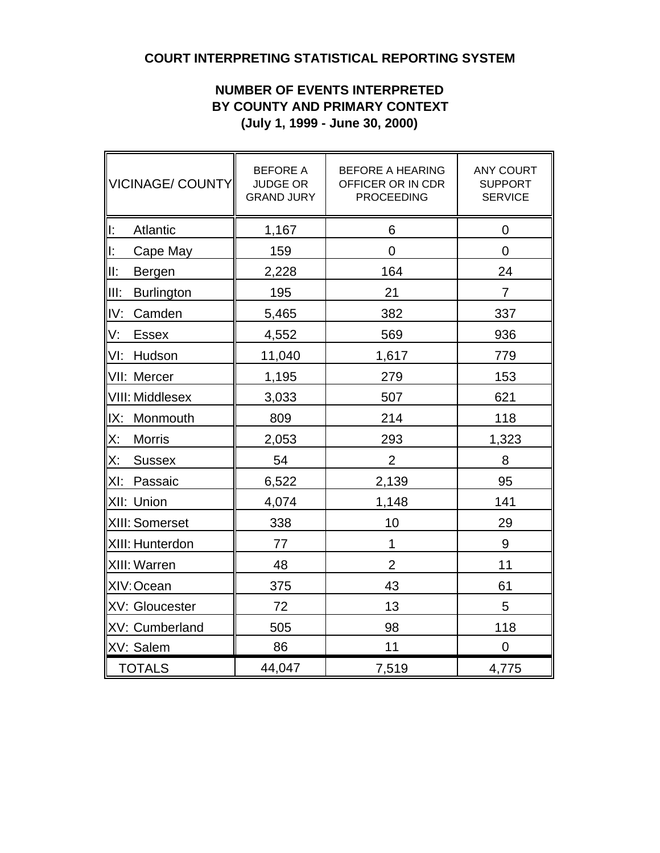# **COURT INTERPRETING STATISTICAL REPORTING SYSTEM**

## **NUMBER OF EVENTS INTERPRETED BY COUNTY AND PRIMARY CONTEXT (July 1, 1999 - June 30, 2000)**

| VICINAGE/ COUNTY          | <b>BEFORE A</b><br><b>JUDGE OR</b><br><b>GRAND JURY</b> | <b>BEFORE A HEARING</b><br>OFFICER OR IN CDR<br><b>PROCEEDING</b> | <b>ANY COURT</b><br><b>SUPPORT</b><br><b>SERVICE</b> |
|---------------------------|---------------------------------------------------------|-------------------------------------------------------------------|------------------------------------------------------|
| ∥ı:<br><b>Atlantic</b>    | 1,167                                                   | 6                                                                 | $\mathbf 0$                                          |
| ll:<br>Cape May           | 159                                                     | $\overline{0}$                                                    | $\overline{0}$                                       |
| III:<br>Bergen            | 2,228                                                   | 164                                                               | 24                                                   |
| III:<br><b>Burlington</b> | 195                                                     | 21                                                                | $\overline{7}$                                       |
| IV:<br>Camden             | 5,465                                                   | 382                                                               | 337                                                  |
| V:<br><b>Essex</b>        | 4,552                                                   | 569                                                               | 936                                                  |
| VI:<br>Hudson             | 11,040                                                  | 1,617                                                             | 779                                                  |
| VII: Mercer               | 1,195                                                   | 279                                                               | 153                                                  |
| VIII: Middlesex           | 3,033                                                   | 507                                                               | 621                                                  |
| IX:<br>Monmouth           | 809                                                     | 214                                                               | 118                                                  |
| X:<br><b>Morris</b>       | 2,053                                                   | 293                                                               | 1,323                                                |
| X:<br><b>Sussex</b>       | 54                                                      | $\overline{2}$                                                    | 8                                                    |
| XI:<br>Passaic            | 6,522                                                   | 2,139                                                             | 95                                                   |
| XII: Union                | 4,074                                                   | 1,148                                                             | 141                                                  |
| XIII: Somerset            | 338                                                     | 10                                                                | 29                                                   |
| XIII: Hunterdon           | 77                                                      | 1                                                                 | 9                                                    |
| XIII: Warren              | 48                                                      | $\overline{2}$                                                    | 11                                                   |
| XIV: Ocean                | 375                                                     | 43                                                                | 61                                                   |
| XV: Gloucester            | 72                                                      | 13                                                                | 5                                                    |
| XV: Cumberland            | 505                                                     | 98                                                                | 118                                                  |
| XV: Salem                 | 86                                                      | 11                                                                | $\mathbf 0$                                          |
| <b>TOTALS</b>             | 44,047                                                  | 7,519                                                             | 4,775                                                |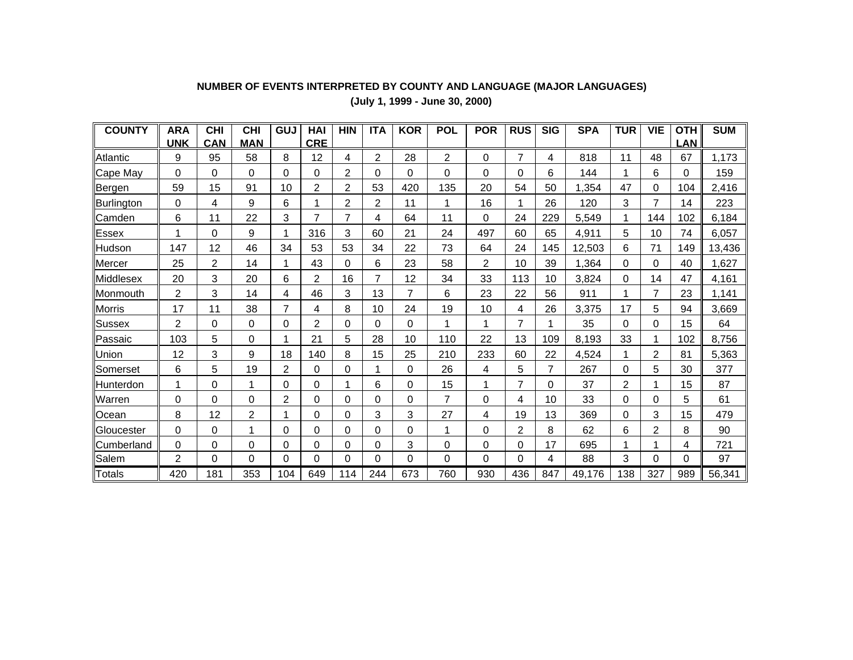| <b>COUNTY</b> | <b>ARA</b>     | <b>CHI</b> | <b>CHI</b>     | GUJ            | HAI            | <b>HIN</b>     | <b>ITA</b>     | <b>KOR</b>     | <b>POL</b>     | <b>POR</b> | <b>RUS</b> | <b>SIG</b>  | <b>SPA</b> | <b>TUR</b> | <b>VIE</b>     | <b>OTH</b> | <b>SUM</b> |
|---------------|----------------|------------|----------------|----------------|----------------|----------------|----------------|----------------|----------------|------------|------------|-------------|------------|------------|----------------|------------|------------|
|               | <b>UNK</b>     | CAN        | <b>MAN</b>     |                | <b>CRE</b>     |                |                |                |                |            |            |             |            |            |                | <b>LAN</b> |            |
| Atlantic      | 9              | 95         | 58             | 8              | 12             | 4              | $\overline{2}$ | 28             | 2              | $\Omega$   | 7          | 4           | 818        | 11         | 48             | 67         | 1,173      |
| Cape May      | $\Omega$       | $\Omega$   | 0              | 0              | $\Omega$       | 2              | 0              | 0              | 0              | $\Omega$   | 0          | 6           | 144        |            | 6              | 0          | 159        |
| <b>Bergen</b> | 59             | 15         | 91             | 10             | 2              | 2              | 53             | 420            | 135            | 20         | 54         | 50          | 1,354      | 47         | $\mathbf 0$    | 104        | 2,416      |
| Burlington    | 0              | 4          | 9              | 6              |                | $\overline{2}$ | $\overline{2}$ | 11             | 1              | 16         | 1          | 26          | 120        | 3          | 7              | 14         | 223        |
| Camden        | 6              | 11         | 22             | 3              | $\overline{7}$ | $\overline{7}$ | 4              | 64             | 11             | 0          | 24         | 229         | 5,549      |            | 144            | 102        | 6,184      |
| Essex         | 1              | $\Omega$   | 9              |                | 316            | 3              | 60             | 21             | 24             | 497        | 60         | 65          | 4,911      | 5          | 10             | 74         | 6,057      |
| Hudson        | 147            | 12         | 46             | 34             | 53             | 53             | 34             | 22             | 73             | 64         | 24         | 145         | 12,503     | 6          | 71             | 149        | 13,436     |
| Mercer        | 25             | 2          | 14             |                | 43             | 0              | 6              | 23             | 58             | 2          | 10         | 39          | 1,364      | 0          | 0              | 40         | 1,627      |
| Middlesex     | 20             | 3          | 20             | 6              | 2              | 16             | $\overline{7}$ | 12             | 34             | 33         | 113        | 10          | 3,824      | 0          | 14             | 47         | 4,161      |
| Monmouth      | $\overline{2}$ | 3          | 14             | 4              | 46             | 3              | 13             | $\overline{7}$ | 6              | 23         | 22         | 56          | 911        |            | 7              | 23         | 1,141      |
| <b>Morris</b> | 17             | 11         | 38             | $\overline{7}$ | 4              | 8              | 10             | 24             | 19             | 10         | 4          | 26          | 3,375      | 17         | 5              | 94         | 3,669      |
| Sussex        | $\overline{2}$ | 0          | 0              | 0              | $\overline{2}$ | 0              | $\Omega$       | 0              | 1              |            | 7          | 1           | 35         | 0          | 0              | 15         | 64         |
| Passaic       | 103            | 5          | 0              |                | 21             | 5              | 28             | 10             | 110            | 22         | 13         | 109         | 8,193      | 33         | 1              | 102        | 8,756      |
| Union         | 12             | 3          | 9              | 18             | 140            | 8              | 15             | 25             | 210            | 233        | 60         | 22          | 4,524      |            | 2              | 81         | 5,363      |
| Somerset      | 6              | 5          | 19             | 2              | $\Omega$       | 0              | 1              | 0              | 26             | 4          | 5          | 7           | 267        | 0          | 5              | 30         | 377        |
| Hunterdon     | 1              | $\Omega$   | 1              | 0              | $\Omega$       | 1              | 6              | 0              | 15             | 1          | 7          | $\mathbf 0$ | 37         | 2          | 1              | 15         | 87         |
| Warren        | $\Omega$       | $\Omega$   | 0              | 2              | $\Omega$       | $\Omega$       | $\mathbf{0}$   | 0              | $\overline{7}$ | 0          | 4          | 10          | 33         | 0          | 0              | 5          | 61         |
| Ocean         | 8              | 12         | $\overline{c}$ |                | 0              | 0              | 3              | 3              | 27             | 4          | 19         | 13          | 369        | 0          | 3              | 15         | 479        |
| Gloucester    | 0              | $\Omega$   |                | 0              | 0              | $\Omega$       | 0              | 0              | 1              | 0          | 2          | 8           | 62         | 6          | $\overline{c}$ | 8          | 90         |
| Cumberland    | 0              | 0          | 0              | 0              | 0              | 0              | 0              | 3              | 0              | 0          | 0          | 17          | 695        |            |                | 4          | 721        |
| Salem         | $\overline{2}$ | $\Omega$   | 0              | 0              | $\Omega$       | 0              | $\Omega$       | $\Omega$       | $\Omega$       | $\Omega$   | $\Omega$   | 4           | 88         | 3          | $\Omega$       | 0          | 97         |
| <b>Totals</b> | 420            | 181        | 353            | 104            | 649            | 114            | 244            | 673            | 760            | 930        | 436        | 847         | 49,176     | 138        | 327            | 989        | 56,341     |

# **NUMBER OF EVENTS INTERPRETED BY COUNTY AND LANGUAGE (MAJOR LANGUAGES)**

**(July 1, 1999 - June 30, 2000)**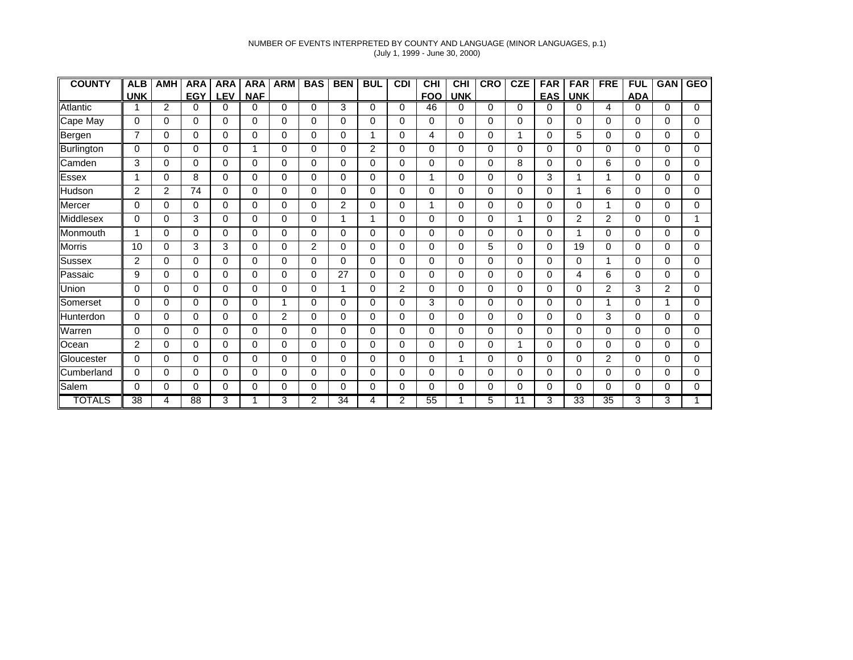#### NUMBER OF EVENTS INTERPRETED BY COUNTY AND LANGUAGE (MINOR LANGUAGES, p.1) (July 1, 1999 - June 30, 2000)

| <b>COUNTY</b>    | <b>ALB</b>      | <b>AMH</b>  | <b>ARA</b>      | <b>ARA</b> | <b>ARA</b>  | <b>ARM</b> | <b>BAS</b> | <b>BEN</b>      | <b>BUL</b>     | <b>CDI</b> | <b>CHI</b> | <b>CHI</b> | <b>CRO</b> | <b>CZE</b> | <b>FAR</b>  | <b>FAR</b>      | <b>FRE</b> | <b>FUL</b> | <b>GAN</b> | <b>GEO</b> |
|------------------|-----------------|-------------|-----------------|------------|-------------|------------|------------|-----------------|----------------|------------|------------|------------|------------|------------|-------------|-----------------|------------|------------|------------|------------|
|                  | <b>UNK</b>      |             | <b>EGY</b>      | <b>LEV</b> | <b>NAF</b>  |            |            |                 |                |            | <b>FOO</b> | <b>UNK</b> |            |            | <b>EAS</b>  | <b>UNK</b>      |            | <b>ADA</b> |            |            |
| Atlantic         |                 | 2           | 0               | $\Omega$   | $\Omega$    | 0          | 0          | 3               | 0              | 0          | 46         | 0          | $\Omega$   | 0          | 0           | $\Omega$        | 4          | 0          | 0          | $\Omega$   |
| Cape May         | 0               | 0           | $\Omega$        | $\Omega$   | $\mathbf 0$ | 0          | 0          | $\mathbf 0$     | 0              | 0          | 0          | 0          | $\Omega$   | $\Omega$   | 0           | $\Omega$        | $\Omega$   | 0          | 0          | $\Omega$   |
| Bergen           | $\overline{7}$  | 0           | 0               | $\Omega$   | 0           | 0          | 0          | 0               | 1              | 0          | 4          | 0          | $\Omega$   |            | 0           | 5               | 0          | 0          | $\Omega$   | 0          |
| Burlington       | 0               | 0           | 0               | $\Omega$   | 1           | 0          | 0          | $\mathbf 0$     | $\overline{2}$ | 0          | 0          | 0          | 0          | $\Omega$   | 0           | 0               | 0          | 0          | 0          | 0          |
| Camden           | 3               | $\Omega$    | 0               | $\Omega$   | 0           | 0          | 0          | $\Omega$        | 0              | $\Omega$   | 0          | 0          | $\Omega$   | 8          | 0           | 0               | 6          | 0          | 0          | 0          |
| <b>Essex</b>     | 1               | 0           | 8               | 0          | $\mathbf 0$ | 0          | 0          | $\mathbf 0$     | 0              | 0          | 1          | 0          | $\Omega$   | 0          | 3           | 1               | 1          | 0          | 0          | 0          |
| Hudson           | $\overline{2}$  | 2           | 74              | $\Omega$   | 0           | $\Omega$   | 0          | $\Omega$        | 0              | $\Omega$   | 0          | 0          | $\Omega$   | $\Omega$   | 0           | 1               | 6          | $\Omega$   | $\Omega$   | 0          |
| Mercer           | 0               | $\Omega$    | 0               | $\Omega$   | $\Omega$    | 0          | 0          | 2               | 0              | $\Omega$   | 1          | 0          | $\Omega$   | 0          | $\Omega$    | $\Omega$        | 1          | $\Omega$   | 0          | $\Omega$   |
| <b>Middlesex</b> | $\Omega$        | 0           | 3               | $\Omega$   | $\mathbf 0$ | 0          | 0          | 1               | 1              | $\Omega$   | 0          | 0          | $\Omega$   |            | $\Omega$    | 2               | 2          | $\Omega$   | $\Omega$   |            |
| Monmouth         | 1               | $\mathbf 0$ | 0               | 0          | 0           | 0          | 0          | 0               | 0              | 0          | 0          | 0          | $\Omega$   | 0          | 0           |                 | 0          | 0          | 0          | 0          |
| <b>Morris</b>    | 10              | $\mathbf 0$ | 3               | 3          | 0           | 0          | 2          | $\mathbf 0$     | 0              | $\Omega$   | 0          | 0          | 5          | $\Omega$   | 0           | 19              | 0          | 0          | 0          | $\Omega$   |
| Sussex           | 2               | $\mathbf 0$ | 0               | $\Omega$   | $\mathbf 0$ | 0          | 0          | $\Omega$        | 0              | 0          | 0          | 0          | $\Omega$   | 0          | 0           | $\Omega$        |            | 0          | 0          | $\Omega$   |
| Passaic          | 9               | $\Omega$    | 0               | $\Omega$   | $\Omega$    | 0          | 0          | 27              | 0              | 0          | 0          | 0          | $\Omega$   | 0          | $\Omega$    | 4               | 6          | 0          | 0          | 0          |
| Union            | 0               | $\Omega$    | 0               | $\Omega$   | $\Omega$    | 0          | 0          | 1               | 0              | 2          | 0          | 0          | $\Omega$   | $\Omega$   | $\Omega$    | $\Omega$        | 2          | 3          | 2          | 0          |
| Somerset         | 0               | $\Omega$    | 0               | 0          | $\Omega$    | 1          | 0          | $\Omega$        | 0              | 0          | 3          | 0          | 0          | 0          | $\Omega$    | $\Omega$        | 1          | 0          | 1          | 0          |
| Hunterdon        | $\Omega$        | $\Omega$    | $\Omega$        | $\Omega$   | $\Omega$    | 2          | $\Omega$   | $\Omega$        | 0              | $\Omega$   | 0          | 0          | $\Omega$   | $\Omega$   | $\Omega$    | $\Omega$        | 3          | $\Omega$   | $\Omega$   | $\Omega$   |
| Warren           | 0               | $\mathbf 0$ | 0               | 0          | $\mathbf 0$ | 0          | 0          | $\mathbf 0$     | 0              | 0          | 0          | 0          | $\Omega$   | 0          | $\mathbf 0$ | $\Omega$        | 0          | 0          | 0          | 0          |
| Ocean            | $\overline{2}$  | $\Omega$    | 0               | $\Omega$   | 0           | 0          | 0          | $\Omega$        | 0              | 0          | 0          | 0          | $\Omega$   |            | $\Omega$    | $\Omega$        | 0          | $\Omega$   | 0          | $\Omega$   |
| Gloucester       | 0               | $\mathbf 0$ | 0               | $\Omega$   | 0           | 0          | 0          | $\mathbf 0$     | 0              | 0          | 0          | 1          | $\Omega$   | 0          | 0           | 0               | 2          | 0          | 0          | 0          |
| Cumberland       | 0               | $\Omega$    | 0               | $\Omega$   | $\Omega$    | 0          | 0          | $\Omega$        | 0              | 0          | 0          | 0          | $\Omega$   | 0          | $\Omega$    | 0               | 0          | 0          | 0          | 0          |
| Salem            | 0               | $\mathbf 0$ | 0               | $\Omega$   | 0           | 0          | 0          | 0               | 0              | 0          | 0          | 0          | 0          | 0          | 0           | 0               | 0          | 0          | 0          | 0          |
| <b>TOTALS</b>    | $\overline{38}$ | 4           | $\overline{88}$ | 3          | 1           | 3          | 2          | $\overline{34}$ | 4              | 2          | 55         |            | 5          | 11         | 3           | $\overline{33}$ | 35         | 3          | 3          |            |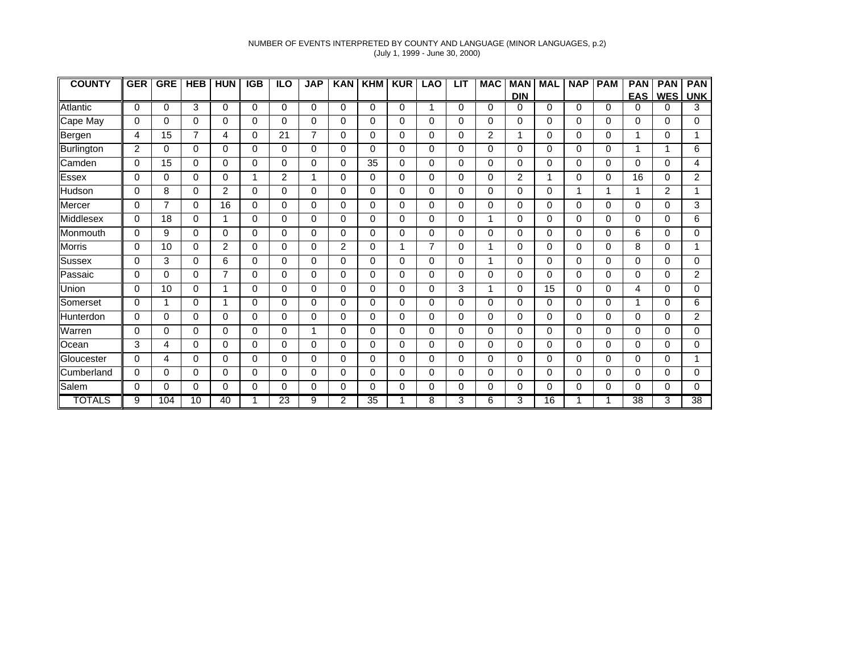#### NUMBER OF EVENTS INTERPRETED BY COUNTY AND LANGUAGE (MINOR LANGUAGES, p.2) (July 1, 1999 - June 30, 2000)

| <b>COUNTY</b>    | <b>GER</b>     | <b>GRE</b>     | <b>HEB</b>     | <b>HUN</b> | <b>IGB</b> | <b>ILO</b> | <b>JAP</b> | <b>KAN</b>     | <b>KHM</b>      | <b>KUR</b> | <b>LAO</b>     | <b>LIT</b>  | <b>MAC</b>     | <b>MAN</b> | <b>MAL</b>  | <b>NAP</b> | <b>PAM</b> | <b>PAN</b>      | <b>PAN</b> | <b>PAN</b>      |
|------------------|----------------|----------------|----------------|------------|------------|------------|------------|----------------|-----------------|------------|----------------|-------------|----------------|------------|-------------|------------|------------|-----------------|------------|-----------------|
|                  |                |                |                |            |            |            |            |                |                 |            |                |             |                | <b>DIN</b> |             |            |            | <b>EAS</b>      | <b>WES</b> | <b>UNK</b>      |
| <b>Atlantic</b>  | $\Omega$       | $\Omega$       | 3              | $\Omega$   | $\Omega$   | $\Omega$   | $\Omega$   | $\Omega$       | $\Omega$        | $\Omega$   | 1              | $\mathbf 0$ | $\Omega$       | 0          | $\Omega$    | 0          | $\Omega$   | $\Omega$        | $\Omega$   | 3               |
| Cape May         | 0              | $\Omega$       | 0              | $\Omega$   | 0          | 0          | $\Omega$   | $\Omega$       | 0               | 0          | 0              | 0           | $\Omega$       | 0          | $\Omega$    | $\Omega$   | $\Omega$   | 0               | $\Omega$   | $\Omega$        |
| Bergen           | 4              | 15             | $\overline{7}$ | 4          | 0          | 21         | 7          | 0              | 0               | 0          | $\Omega$       | 0           | $\overline{2}$ | 1          | $\mathbf 0$ | 0          | 0          | 1               | $\Omega$   |                 |
| Burlington       | $\overline{2}$ | $\Omega$       | 0              | 0          | 0          | 0          | 0          | 0              | 0               | $\Omega$   | $\Omega$       | 0           | 0              | 0          | $\mathbf 0$ | 0          | $\Omega$   | 1               |            | 6               |
| Camden           | $\Omega$       | 15             | 0              | $\Omega$   | 0          | 0          | 0          | 0              | 35              | 0          | 0              | 0           | $\Omega$       | 0          | $\mathbf 0$ | 0          | $\Omega$   | 0               | $\Omega$   | 4               |
| <b>Essex</b>     | 0              | 0              | 0              | $\Omega$   | 1          | 2          | 1          | 0              | 0               | $\Omega$   | $\Omega$       | 0           | 0              | 2          | 1           | 0          | 0          | 16              | $\Omega$   | 2               |
| Hudson           | 0              | 8              | 0              | 2          | $\Omega$   | 0          | $\Omega$   | $\Omega$       | 0               | 0          | $\Omega$       | $\Omega$    | $\Omega$       | 0          | $\Omega$    | 1          |            | 1               | 2          |                 |
| Mercer           | 0              | $\overline{7}$ | 0              | 16         | $\Omega$   | 0          | 0          | 0              | 0               | 0          | $\Omega$       | $\mathbf 0$ | 0              | 0          | $\Omega$    | 0          | 0          | $\Omega$        | $\Omega$   | 3               |
| <b>Middlesex</b> | 0              | 18             | 0              | 1          | $\Omega$   | 0          | $\Omega$   | $\Omega$       | 0               | 0          | $\Omega$       | 0           | 1              | 0          | $\mathbf 0$ | $\Omega$   | $\Omega$   | 0               | $\Omega$   | 6               |
| Monmouth         | 0              | 9              | 0              | 0          | 0          | 0          | 0          | 0              | 0               | 0          | 0              | 0           | 0              | 0          | $\pmb{0}$   | 0          | 0          | 6               | 0          | 0               |
| <b>Morris</b>    | 0              | 10             | 0              | 2          | 0          | 0          | 0          | 2              | 0               | 1          | $\overline{7}$ | 0           | 1              | 0          | $\mathbf 0$ | 0          | 0          | 8               | $\Omega$   |                 |
| Sussex           | $\Omega$       | 3              | 0              | 6          | 0          | 0          | $\Omega$   | 0              | 0               | 0          | 0              | 0           | 1              | 0          | $\mathbf 0$ | $\Omega$   | $\Omega$   | $\Omega$        | $\Omega$   | $\Omega$        |
| Passaic          | 0              | $\Omega$       | 0              | 7          | $\Omega$   | 0          | 0          | 0              | 0               | 0          | $\Omega$       | 0           | 0              | 0          | $\mathbf 0$ | 0          | 0          | 0               | $\Omega$   | 2               |
| Union            | 0              | 10             | 0              | 1          | $\Omega$   | 0          | $\Omega$   | $\Omega$       | 0               | 0          | $\Omega$       | 3           | 1              | 0          | 15          | 0          | $\Omega$   | 4               | $\Omega$   | 0               |
| Somerset         | 0              | 1              | 0              | 1          | 0          | 0          | $\Omega$   | 0              | 0               | $\Omega$   | $\Omega$       | 0           | $\Omega$       | 0          | 0           | 0          | $\Omega$   | 1               | $\Omega$   | 6               |
| Hunterdon        | 0              | $\Omega$       | 0              | $\Omega$   | $\Omega$   | 0          | $\Omega$   | $\Omega$       | 0               | 0          | $\Omega$       | 0           | $\Omega$       | 0          | $\mathbf 0$ | $\Omega$   | $\Omega$   | 0               | $\Omega$   | $\overline{2}$  |
| Warren           | 0              | 0              | 0              | 0          | 0          | 0          | 1          | 0              | 0               | 0          | 0              | 0           | 0              | 0          | 0           | 0          | 0          | 0               | $\Omega$   | 0               |
| Ocean            | 3              | 4              | 0              | 0          | 0          | 0          | 0          | 0              | 0               | $\Omega$   | 0              | 0           | $\Omega$       | 0          | $\mathbf 0$ | 0          | $\Omega$   | 0               | 0          | 0               |
| Gloucester       | $\Omega$       | 4              | 0              | $\Omega$   | 0          | 0          | 0          | 0              | 0               | 0          | 0              | $\mathbf 0$ | $\Omega$       | 0          | $\mathbf 0$ | 0          | $\Omega$   | $\Omega$        | $\Omega$   |                 |
| Cumberland       | 0              | $\Omega$       | 0              | $\Omega$   | $\Omega$   | 0          | 0          | 0              | 0               | 0          | $\Omega$       | 0           | 0              | 0          | 0           | 0          | 0          | 0               | $\Omega$   | 0               |
| Salem            | 0              | $\Omega$       | 0              | 0          | 0          | 0          | 0          | 0              | 0               | $\Omega$   | $\Omega$       | 0           | 0              | 0          | 0           | 0          | 0          | $\Omega$        | 0          | 0               |
| <b>TOTALS</b>    | 9              | 104            | 10             | 40         | 1          | 23         | 9          | $\overline{2}$ | $\overline{35}$ |            | 8              | 3           | 6              | 3          | 16          |            |            | $\overline{38}$ | 3          | $\overline{38}$ |